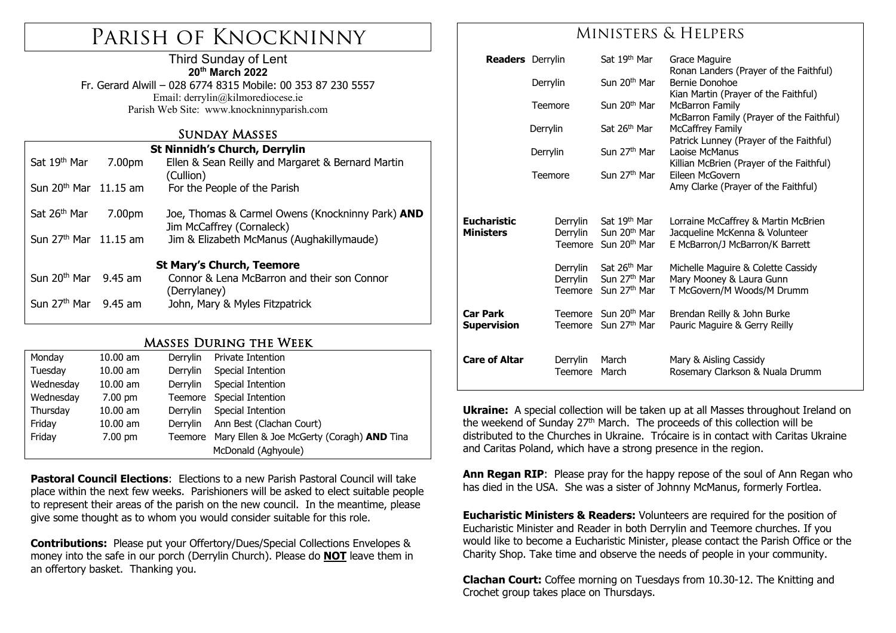# Parish of Knockninny

#### Third Sunday of Lent **20th March 2022**

Fr. Gerard Alwill – 028 6774 8315 Mobile: 00 353 87 230 5557 Email: derrylin@kilmorediocese.ie Parish Web Site: www.knockninnyparish.com

## Sunday Masses

| <b>St Ninnidh's Church, Derrylin</b> |        |                                                                                      |  |  |  |  |
|--------------------------------------|--------|--------------------------------------------------------------------------------------|--|--|--|--|
| Sat 19 <sup>th</sup> Mar             | 7.00pm | Ellen & Sean Reilly and Margaret & Bernard Martin<br>(Cullion)                       |  |  |  |  |
| Sun 20 <sup>th</sup> Mar 11.15 am    |        | For the People of the Parish                                                         |  |  |  |  |
| Sat 26 <sup>th</sup> Mar             | 7.00pm | Joe, Thomas & Carmel Owens (Knockninny Park) <b>AND</b><br>Jim McCaffrey (Cornaleck) |  |  |  |  |
| Sun 27 <sup>th</sup> Mar 11.15 am    |        | Jim & Elizabeth McManus (Aughakillymaude)                                            |  |  |  |  |
| <b>St Mary's Church, Teemore</b>     |        |                                                                                      |  |  |  |  |
| Sun $20th$ Mar 9.45 am               |        | Connor & Lena McBarron and their son Connor<br>(Derrylaney)                          |  |  |  |  |
| Sun 27 <sup>th</sup> Mar 9.45 am     |        | John, Mary & Myles Fitzpatrick                                                       |  |  |  |  |

## Masses During the Week

| Monday    | $10.00$ am        | Derrylin | Private Intention                                         |  |
|-----------|-------------------|----------|-----------------------------------------------------------|--|
| Tuesday   | $10.00$ am        | Derrylin | Special Intention                                         |  |
| Wednesday | $10.00$ am        | Derrylin | Special Intention                                         |  |
| Wednesday | 7.00 pm           |          | Teemore Special Intention                                 |  |
| Thursday  | $10.00$ am        | Derrylin | Special Intention                                         |  |
| Friday    | $10.00$ am        | Derrylin | Ann Best (Clachan Court)                                  |  |
| Friday    | $7.00 \text{ pm}$ |          | Teemore Mary Ellen & Joe McGerty (Coragh) <b>AND</b> Tina |  |
|           |                   |          | McDonald (Aghyoule)                                       |  |

**Pastoral Council Elections**: Elections to a new Parish Pastoral Council will take place within the next few weeks. Parishioners will be asked to elect suitable people to represent their areas of the parish on the new council. In the meantime, please give some thought as to whom you would consider suitable for this role.

**Contributions:** Please put your Offertory/Dues/Special Collections Envelopes & money into the safe in our porch (Derrylin Church). Please do **NOT** leave them in an offertory basket. Thanking you.

# Ministers & Helpers

| <b>Readers</b> Derrylin        |                     | Sat 19th Mar                                                         | Grace Maguire                                                     |
|--------------------------------|---------------------|----------------------------------------------------------------------|-------------------------------------------------------------------|
|                                | Derrylin            | Sun 20 <sup>th</sup> Mar                                             | Ronan Landers (Prayer of the Faithful)<br>Bernie Donohoe          |
|                                |                     |                                                                      | Kian Martin (Prayer of the Faithful)                              |
|                                | Teemore             | Sun 20 <sup>th</sup> Mar                                             | McBarron Family<br>McBarron Family (Prayer of the Faithful)       |
|                                | Derrylin            | Sat 26 <sup>th</sup> Mar                                             | <b>McCaffrey Family</b>                                           |
|                                | Derrylin            | Sun 27 <sup>th</sup> Mar                                             | Patrick Lunney (Prayer of the Faithful)<br>Laoise McManus         |
|                                |                     |                                                                      | Killian McBrien (Prayer of the Faithful)                          |
|                                | Teemore             | Sun 27 <sup>th</sup> Mar                                             | Eileen McGovern                                                   |
|                                |                     |                                                                      | Amy Clarke (Prayer of the Faithful)                               |
| <b>Eucharistic</b>             | Derrylin            | Sat 19 <sup>th</sup> Mar                                             | Lorraine McCaffrey & Martin McBrien                               |
| <b>Ministers</b>               | Derrylin            | Sun 20 <sup>th</sup> Mar<br>Teemore Sun 20 <sup>th</sup> Mar         | Jacqueline McKenna & Volunteer<br>E McBarron/J McBarron/K Barrett |
|                                | Derrylin            | Sat 26 <sup>th</sup> Mar                                             | Michelle Maguire & Colette Cassidy                                |
|                                | Derrylin<br>Teemore | Sun 27 <sup>th</sup> Mar<br>Sun 27 <sup>th</sup> Mar                 | Mary Mooney & Laura Gunn<br>T McGovern/M Woods/M Drumm            |
|                                |                     |                                                                      |                                                                   |
| <b>Car Park</b><br>Supervision |                     | Teemore Sun 20 <sup>th</sup> Mar<br>Teemore Sun 27 <sup>th</sup> Mar | Brendan Reilly & John Burke<br>Pauric Maguire & Gerry Reilly      |
|                                |                     |                                                                      |                                                                   |
| <b>Care of Altar</b>           | Derrylin<br>Teemore | March<br>March                                                       | Mary & Aisling Cassidy<br>Rosemary Clarkson & Nuala Drumm         |

**Ukraine:** A special collection will be taken up at all Masses throughout Ireland on the weekend of Sunday  $27<sup>th</sup>$  March. The proceeds of this collection will be distributed to the Churches in Ukraine. Trócaire is in contact with Caritas Ukraine and Caritas Poland, which have a strong presence in the region.

**Ann Regan RIP:** Please pray for the happy repose of the soul of Ann Regan who has died in the USA. She was a sister of Johnny McManus, formerly Fortlea.

**Eucharistic Ministers & Readers:** Volunteers are required for the position of Eucharistic Minister and Reader in both Derrylin and Teemore churches. If you would like to become a Eucharistic Minister, please contact the Parish Office or the Charity Shop. Take time and observe the needs of people in your community.

**Clachan Court:** Coffee morning on Tuesdays from 10.30-12. The Knitting and Crochet group takes place on Thursdays.